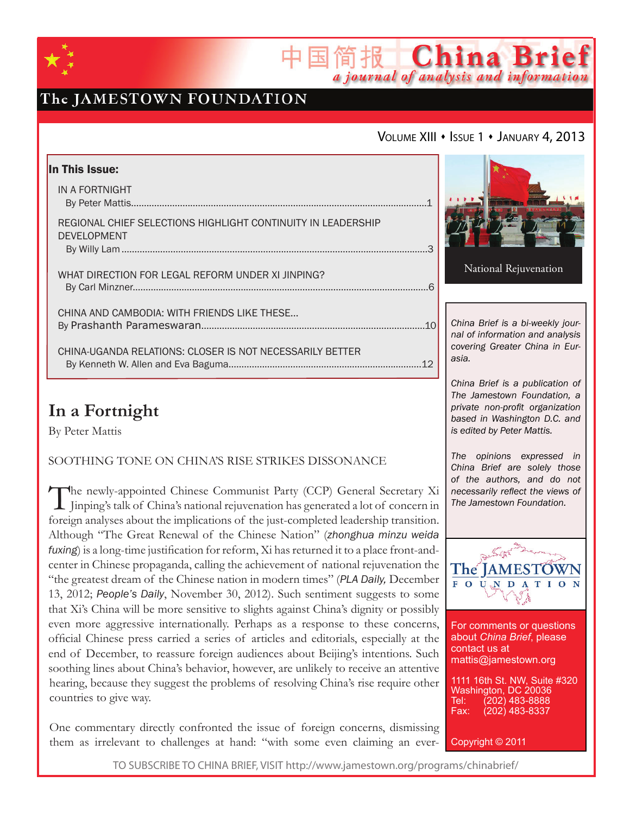

# The JAMESTOWN FOUNDATION

### VOLUME XIII · ISSUE 1 · JANUARY 4, 2013

简报 China Brief

a journal of analysis and information

| In This Issue:                                               |                                                                     |
|--------------------------------------------------------------|---------------------------------------------------------------------|
| IN A FORTNIGHT                                               |                                                                     |
|                                                              |                                                                     |
| REGIONAL CHIEF SELECTIONS HIGHLIGHT CONTINUITY IN LEADERSHIP |                                                                     |
| <b>DEVELOPMENT</b>                                           |                                                                     |
|                                                              | National Rejuvenation                                               |
| WHAT DIRECTION FOR LEGAL REFORM UNDER XI JINPING?            |                                                                     |
|                                                              |                                                                     |
| CHINA AND CAMBODIA: WITH FRIENDS LIKE THESE                  |                                                                     |
|                                                              | China Brief is a bi-weekly jour-<br>nal of information and analysis |
| CHINA-UGANDA RELATIONS: CLOSER IS NOT NECESSARILY BETTER     | covering Greater China in Eur-                                      |
|                                                              | asia.                                                               |
|                                                              | China Brief is a publication of                                     |

# **In a Fortnight**

By Peter Mattis

### SOOTHING TONE ON CHINA'S RISE STRIKES DISSONANCE

The newly-appointed Chinese Communist Party (CCP) General Secretary Xi Jinping's talk of China's national rejuvenation has generated a lot of concern in foreign analyses about the implications of the just-completed leadership transition. Although "The Great Renewal of the Chinese Nation" (*zhonghua minzu weida fuxing*) is a long-time justification for reform, Xi has returned it to a place front-andcenter in Chinese propaganda, calling the achievement of national rejuvenation the "the greatest dream of the Chinese nation in modern times" (*PLA Daily,* December 13, 2012; *People's Daily*, November 30, 2012). Such sentiment suggests to some that Xi's China will be more sensitive to slights against China's dignity or possibly even more aggressive internationally. Perhaps as a response to these concerns, official Chinese press carried a series of articles and editorials, especially at the end of December, to reassure foreign audiences about Beijing's intentions. Such soothing lines about China's behavior, however, are unlikely to receive an attentive hearing, because they suggest the problems of resolving China's rise require other countries to give way.

One commentary directly confronted the issue of foreign concerns, dismissing them as irrelevant to challenges at hand: "with some even claiming an ever-

*The opinions expressed in China Brief are solely those of the authors, and do not necessarily reflect the views of The Jamestown Foundation.*

*The Jamestown Foundation, a private non-profit organization based in Washington D.C. and is edited by Peter Mattis.*



For comments or questions about *China Brief*, please contact us at mattis@jamestown.org

1111 16th St. NW, Suite #320 Washington, DC 20036<br>Tel: (202) 483-8888 Tel: (202) 483-8888<br>Fax: (202) 483-8337 (202) 483-8337

Copyright © 2011

TO SUBSCRIBE TO CHINA BRIEF, VISIT http://www.jamestown.org/programs/chinabrief/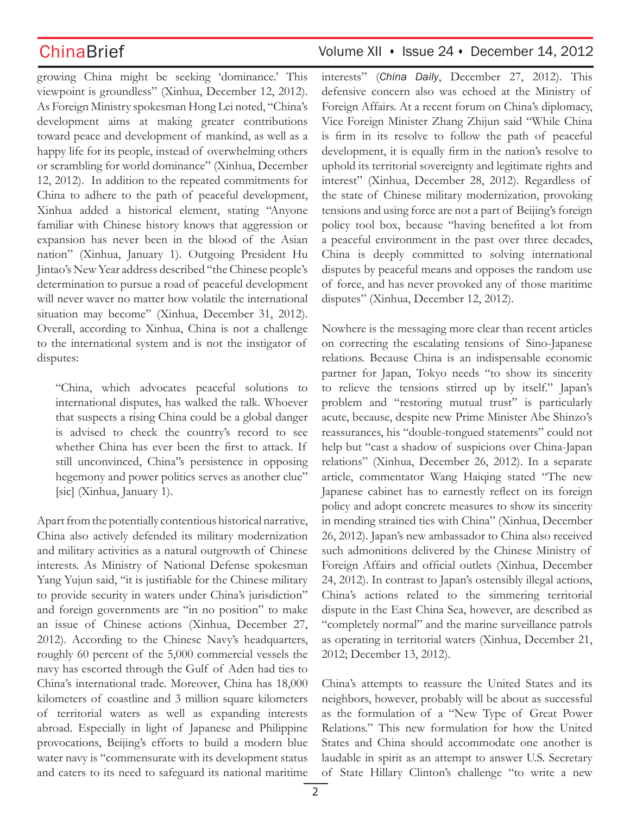growing China might be seeking 'dominance.' This viewpoint is groundless" (Xinhua, December 12, 2012). As Foreign Ministry spokesman Hong Lei noted, "China's development aims at making greater contributions toward peace and development of mankind, as well as a happy life for its people, instead of overwhelming others or scrambling for world dominance" (Xinhua, December 12, 2012). In addition to the repeated commitments for China to adhere to the path of peaceful development, Xinhua added a historical element, stating "Anyone familiar with Chinese history knows that aggression or expansion has never been in the blood of the Asian nation" (Xinhua, January 1). Outgoing President Hu Jintao's New Year address described "the Chinese people's determination to pursue a road of peaceful development will never waver no matter how volatile the international situation may become" (Xinhua, December 31, 2012). Overall, according to Xinhua, China is not a challenge to the international system and is not the instigator of disputes:

"China, which advocates peaceful solutions to international disputes, has walked the talk. Whoever that suspects a rising China could be a global danger is advised to check the country's record to see whether China has ever been the first to attack. If still unconvinced, China''s persistence in opposing hegemony and power politics serves as another clue" [sic] (Xinhua, January 1).

Apart from the potentially contentious historical narrative, China also actively defended its military modernization and military activities as a natural outgrowth of Chinese interests. As Ministry of National Defense spokesman Yang Yujun said, "it is justifiable for the Chinese military to provide security in waters under China's jurisdiction" and foreign governments are "in no position" to make an issue of Chinese actions (Xinhua, December 27, 2012). According to the Chinese Navy's headquarters, roughly 60 percent of the 5,000 commercial vessels the navy has escorted through the Gulf of Aden had ties to China's international trade. Moreover, China has 18,000 kilometers of coastline and 3 million square kilometers of territorial waters as well as expanding interests abroad. Especially in light of Japanese and Philippine provocations, Beijing's efforts to build a modern blue water navy is "commensurate with its development status and caters to its need to safeguard its national maritime

## ChinaBrief Volume XII • Issue 24 • December 14, 2012

interests" (*China Daily*, December 27, 2012). This defensive concern also was echoed at the Ministry of Foreign Affairs. At a recent forum on China's diplomacy, Vice Foreign Minister Zhang Zhijun said "While China is firm in its resolve to follow the path of peaceful development, it is equally firm in the nation's resolve to uphold its territorial sovereignty and legitimate rights and interest" (Xinhua, December 28, 2012). Regardless of the state of Chinese military modernization, provoking tensions and using force are not a part of Beijing's foreign policy tool box, because "having benefited a lot from a peaceful environment in the past over three decades, China is deeply committed to solving international disputes by peaceful means and opposes the random use of force, and has never provoked any of those maritime disputes" (Xinhua, December 12, 2012).

Nowhere is the messaging more clear than recent articles on correcting the escalating tensions of Sino-Japanese relations. Because China is an indispensable economic partner for Japan, Tokyo needs "to show its sincerity to relieve the tensions stirred up by itself." Japan's problem and "restoring mutual trust" is particularly acute, because, despite new Prime Minister Abe Shinzo's reassurances, his "double-tongued statements" could not help but "cast a shadow of suspicions over China-Japan relations" (Xinhua, December 26, 2012). In a separate article, commentator Wang Haiqing stated "The new Japanese cabinet has to earnestly reflect on its foreign policy and adopt concrete measures to show its sincerity in mending strained ties with China" (Xinhua, December 26, 2012). Japan's new ambassador to China also received such admonitions delivered by the Chinese Ministry of Foreign Affairs and official outlets (Xinhua, December 24, 2012). In contrast to Japan's ostensibly illegal actions, China's actions related to the simmering territorial dispute in the East China Sea, however, are described as "completely normal" and the marine surveillance patrols as operating in territorial waters (Xinhua, December 21, 2012; December 13, 2012).

China's attempts to reassure the United States and its neighbors, however, probably will be about as successful as the formulation of a "New Type of Great Power Relations." This new formulation for how the United States and China should accommodate one another is laudable in spirit as an attempt to answer U.S. Secretary of State Hillary Clinton's challenge "to write a new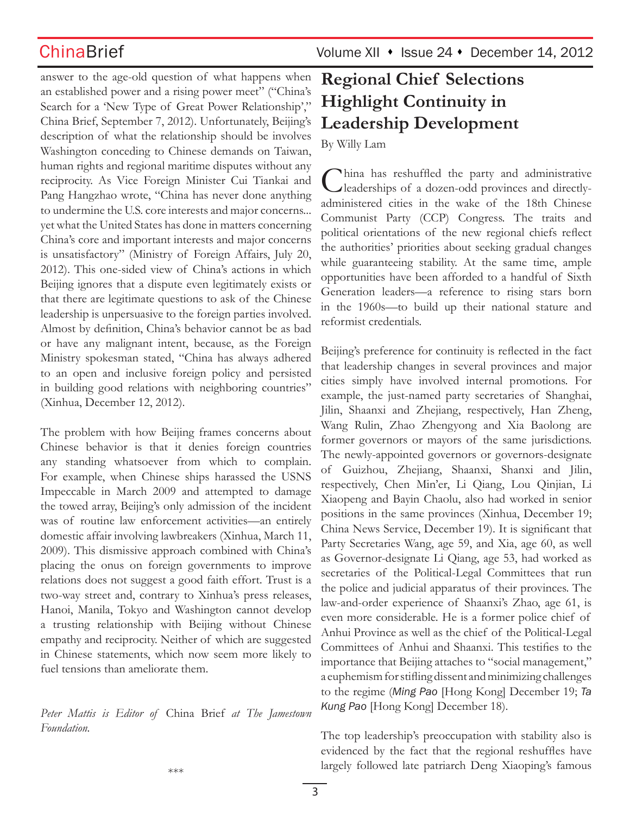answer to the age-old question of what happens when an established power and a rising power meet" ("China's Search for a 'New Type of Great Power Relationship'," China Brief, September 7, 2012). Unfortunately, Beijing's description of what the relationship should be involves Washington conceding to Chinese demands on Taiwan, human rights and regional maritime disputes without any reciprocity. As Vice Foreign Minister Cui Tiankai and Pang Hangzhao wrote, "China has never done anything to undermine the U.S. core interests and major concerns... yet what the United States has done in matters concerning China's core and important interests and major concerns is unsatisfactory" (Ministry of Foreign Affairs, July 20, 2012). This one-sided view of China's actions in which Beijing ignores that a dispute even legitimately exists or that there are legitimate questions to ask of the Chinese leadership is unpersuasive to the foreign parties involved. Almost by definition, China's behavior cannot be as bad or have any malignant intent, because, as the Foreign Ministry spokesman stated, "China has always adhered to an open and inclusive foreign policy and persisted in building good relations with neighboring countries" (Xinhua, December 12, 2012).

The problem with how Beijing frames concerns about Chinese behavior is that it denies foreign countries any standing whatsoever from which to complain. For example, when Chinese ships harassed the USNS Impeccable in March 2009 and attempted to damage the towed array, Beijing's only admission of the incident was of routine law enforcement activities—an entirely domestic affair involving lawbreakers (Xinhua, March 11, 2009). This dismissive approach combined with China's placing the onus on foreign governments to improve relations does not suggest a good faith effort. Trust is a two-way street and, contrary to Xinhua's press releases, Hanoi, Manila, Tokyo and Washington cannot develop a trusting relationship with Beijing without Chinese empathy and reciprocity. Neither of which are suggested in Chinese statements, which now seem more likely to fuel tensions than ameliorate them.

*Peter Mattis is Editor of* China Brief *at The Jamestown Foundation.*

# **Regional Chief Selections Highlight Continuity in Leadership Development**

By Willy Lam

China has reshuffled the party and administrative leaderships of a dozen-odd provinces and directlyadministered cities in the wake of the 18th Chinese Communist Party (CCP) Congress. The traits and political orientations of the new regional chiefs reflect the authorities' priorities about seeking gradual changes while guaranteeing stability. At the same time, ample opportunities have been afforded to a handful of Sixth Generation leaders—a reference to rising stars born in the 1960s—to build up their national stature and reformist credentials.

Beijing's preference for continuity is reflected in the fact that leadership changes in several provinces and major cities simply have involved internal promotions. For example, the just-named party secretaries of Shanghai, Jilin, Shaanxi and Zhejiang, respectively, Han Zheng, Wang Rulin, Zhao Zhengyong and Xia Baolong are former governors or mayors of the same jurisdictions. The newly-appointed governors or governors-designate of Guizhou, Zhejiang, Shaanxi, Shanxi and Jilin, respectively, Chen Min'er, Li Qiang, Lou Qinjian, Li Xiaopeng and Bayin Chaolu, also had worked in senior positions in the same provinces (Xinhua, December 19; China News Service, December 19). It is significant that Party Secretaries Wang, age 59, and Xia, age 60, as well as Governor-designate Li Qiang, age 53, had worked as secretaries of the Political-Legal Committees that run the police and judicial apparatus of their provinces. The law-and-order experience of Shaanxi's Zhao, age 61, is even more considerable. He is a former police chief of Anhui Province as well as the chief of the Political-Legal Committees of Anhui and Shaanxi. This testifies to the importance that Beijing attaches to "social management," a euphemism for stifling dissent and minimizing challenges to the regime (*Ming Pao* [Hong Kong] December 19; *Ta Kung Pao* [Hong Kong] December 18).

The top leadership's preoccupation with stability also is evidenced by the fact that the regional reshuffles have largely followed late patriarch Deng Xiaoping's famous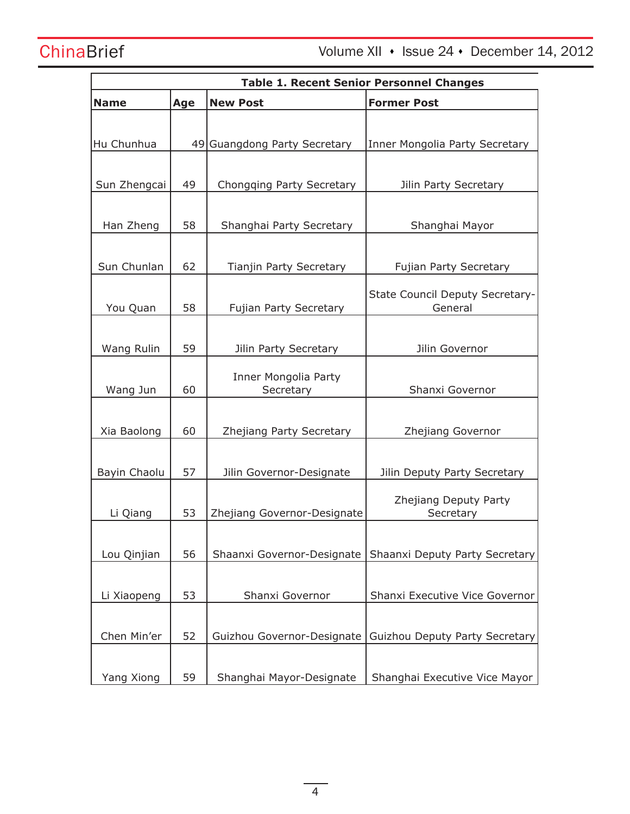ChinaBrief Volume XII · Issue 24 · December 14, 2012

| <b>Table 1. Recent Senior Personnel Changes</b> |     |                                |                                    |
|-------------------------------------------------|-----|--------------------------------|------------------------------------|
| <b>Name</b>                                     | Age | <b>New Post</b>                | <b>Former Post</b>                 |
|                                                 |     |                                |                                    |
| Hu Chunhua                                      |     | 49 Guangdong Party Secretary   | Inner Mongolia Party Secretary     |
|                                                 |     |                                |                                    |
| Sun Zhengcai                                    | 49  | Chongqing Party Secretary      | Jilin Party Secretary              |
|                                                 |     |                                |                                    |
| Han Zheng                                       | 58  | Shanghai Party Secretary       | Shanghai Mayor                     |
|                                                 |     |                                |                                    |
| Sun Chunlan                                     | 62  | <b>Tianjin Party Secretary</b> | <b>Fujian Party Secretary</b>      |
|                                                 |     |                                | State Council Deputy Secretary-    |
| You Quan                                        | 58  | Fujian Party Secretary         | General                            |
|                                                 |     |                                |                                    |
| Wang Rulin                                      | 59  | Jilin Party Secretary          | Jilin Governor                     |
|                                                 |     | Inner Mongolia Party           |                                    |
| Wang Jun                                        | 60  | Secretary                      | Shanxi Governor                    |
|                                                 |     |                                |                                    |
| Xia Baolong                                     | 60  | Zhejiang Party Secretary       | Zhejiang Governor                  |
|                                                 |     |                                |                                    |
| Bayin Chaolu                                    | 57  | Jilin Governor-Designate       | Jilin Deputy Party Secretary       |
|                                                 |     |                                |                                    |
| Li Qiang                                        | 53  | Zhejiang Governor-Designate    | Zhejiang Deputy Party<br>Secretary |
|                                                 |     |                                |                                    |
| Lou Qinjian                                     | 56  | Shaanxi Governor-Designate     | Shaanxi Deputy Party Secretary     |
|                                                 |     |                                |                                    |
| Li Xiaopeng                                     | 53  | Shanxi Governor                | Shanxi Executive Vice Governor     |
|                                                 |     |                                |                                    |
| Chen Min'er                                     | 52  | Guizhou Governor-Designate     | Guizhou Deputy Party Secretary     |
|                                                 |     |                                |                                    |
| Yang Xiong                                      | 59  | Shanghai Mayor-Designate       | Shanghai Executive Vice Mayor      |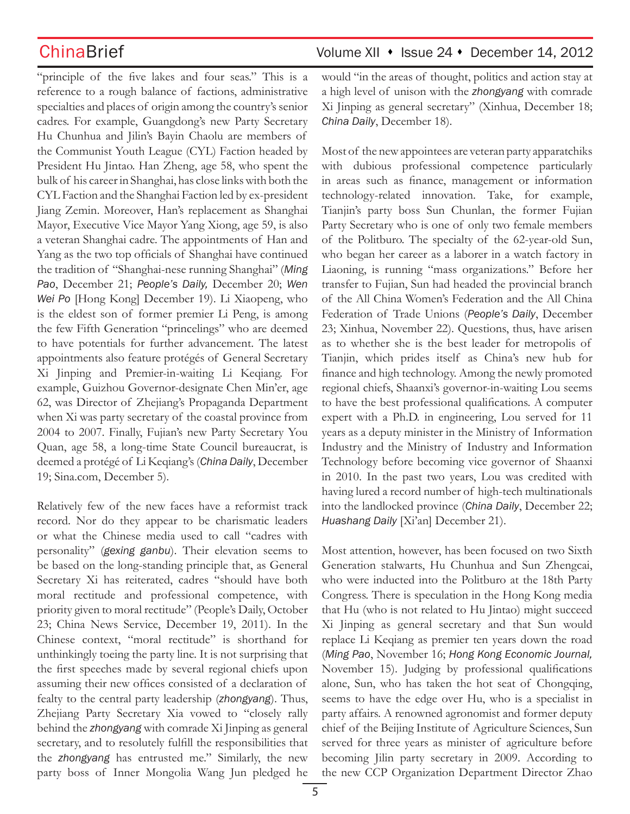"principle of the five lakes and four seas." This is a reference to a rough balance of factions, administrative specialties and places of origin among the country's senior cadres. For example, Guangdong's new Party Secretary Hu Chunhua and Jilin's Bayin Chaolu are members of the Communist Youth League (CYL) Faction headed by President Hu Jintao. Han Zheng, age 58, who spent the bulk of his career in Shanghai, has close links with both the CYL Faction and the Shanghai Faction led by ex-president Jiang Zemin. Moreover, Han's replacement as Shanghai Mayor, Executive Vice Mayor Yang Xiong, age 59, is also a veteran Shanghai cadre. The appointments of Han and Yang as the two top officials of Shanghai have continued the tradition of "Shanghai-nese running Shanghai" (*Ming Pao*, December 21; *People's Daily,* December 20; *Wen Wei Po* [Hong Kong] December 19). Li Xiaopeng, who is the eldest son of former premier Li Peng, is among the few Fifth Generation "princelings" who are deemed to have potentials for further advancement. The latest appointments also feature protégés of General Secretary Xi Jinping and Premier-in-waiting Li Keqiang. For example, Guizhou Governor-designate Chen Min'er, age 62, was Director of Zhejiang's Propaganda Department when Xi was party secretary of the coastal province from 2004 to 2007. Finally, Fujian's new Party Secretary You Quan, age 58, a long-time State Council bureaucrat, is deemed a protégé of Li Keqiang's (*China Daily*, December 19; Sina.com, December 5).

Relatively few of the new faces have a reformist track record. Nor do they appear to be charismatic leaders or what the Chinese media used to call "cadres with personality" (*gexing ganbu*). Their elevation seems to be based on the long-standing principle that, as General Secretary Xi has reiterated, cadres "should have both moral rectitude and professional competence, with priority given to moral rectitude" (People's Daily, October 23; China News Service, December 19, 2011). In the Chinese context, "moral rectitude" is shorthand for unthinkingly toeing the party line. It is not surprising that the first speeches made by several regional chiefs upon assuming their new offices consisted of a declaration of fealty to the central party leadership (*zhongyang*). Thus, Zhejiang Party Secretary Xia vowed to "closely rally behind the *zhongyang* with comrade Xi Jinping as general secretary, and to resolutely fulfill the responsibilities that the *zhongyang* has entrusted me." Similarly, the new party boss of Inner Mongolia Wang Jun pledged he

# ChinaBrief ChinaBrief Volume XII • Issue 24 • December 14, 2012

would "in the areas of thought, politics and action stay at a high level of unison with the *zhongyang* with comrade Xi Jinping as general secretary" (Xinhua, December 18; *China Daily*, December 18).

Most of the new appointees are veteran party apparatchiks with dubious professional competence particularly in areas such as finance, management or information technology-related innovation. Take, for example, Tianjin's party boss Sun Chunlan, the former Fujian Party Secretary who is one of only two female members of the Politburo. The specialty of the 62-year-old Sun, who began her career as a laborer in a watch factory in Liaoning, is running "mass organizations." Before her transfer to Fujian, Sun had headed the provincial branch of the All China Women's Federation and the All China Federation of Trade Unions (*People's Daily*, December 23; Xinhua, November 22). Questions, thus, have arisen as to whether she is the best leader for metropolis of Tianjin, which prides itself as China's new hub for finance and high technology. Among the newly promoted regional chiefs, Shaanxi's governor-in-waiting Lou seems to have the best professional qualifications. A computer expert with a Ph.D. in engineering, Lou served for 11 years as a deputy minister in the Ministry of Information Industry and the Ministry of Industry and Information Technology before becoming vice governor of Shaanxi in 2010. In the past two years, Lou was credited with having lured a record number of high-tech multinationals into the landlocked province (*China Daily*, December 22; *Huashang Daily* [Xi'an] December 21).

Most attention, however, has been focused on two Sixth Generation stalwarts, Hu Chunhua and Sun Zhengcai, who were inducted into the Politburo at the 18th Party Congress. There is speculation in the Hong Kong media that Hu (who is not related to Hu Jintao) might succeed Xi Jinping as general secretary and that Sun would replace Li Keqiang as premier ten years down the road (*Ming Pao*, November 16; *Hong Kong Economic Journal,*  November 15). Judging by professional qualifications alone, Sun, who has taken the hot seat of Chongqing, seems to have the edge over Hu, who is a specialist in party affairs. A renowned agronomist and former deputy chief of the Beijing Institute of Agriculture Sciences, Sun served for three years as minister of agriculture before becoming Jilin party secretary in 2009. According to the new CCP Organization Department Director Zhao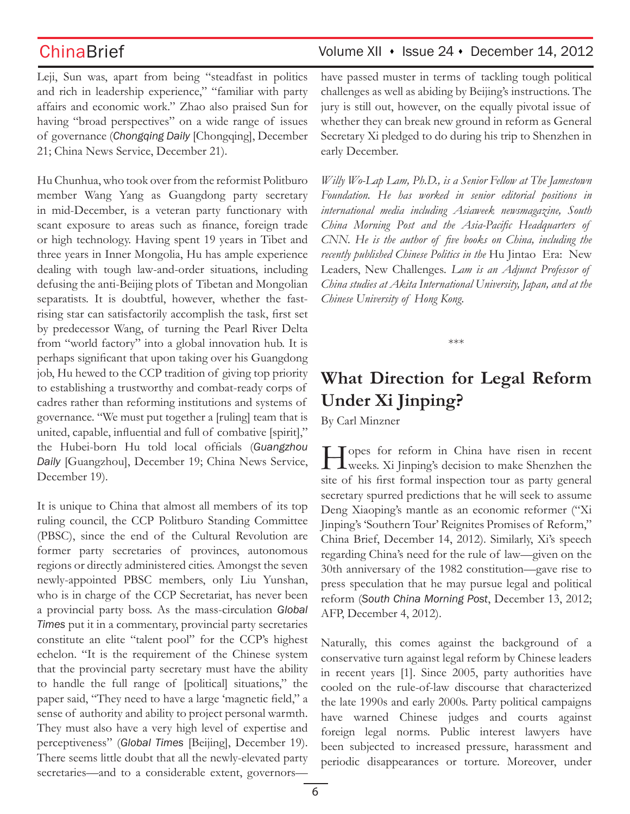Leji, Sun was, apart from being "steadfast in politics and rich in leadership experience," "familiar with party affairs and economic work." Zhao also praised Sun for having "broad perspectives" on a wide range of issues of governance (*Chongqing Daily* [Chongqing], December 21; China News Service, December 21).

Hu Chunhua, who took over from the reformist Politburo member Wang Yang as Guangdong party secretary in mid-December, is a veteran party functionary with scant exposure to areas such as finance, foreign trade or high technology. Having spent 19 years in Tibet and three years in Inner Mongolia, Hu has ample experience dealing with tough law-and-order situations, including defusing the anti-Beijing plots of Tibetan and Mongolian separatists. It is doubtful, however, whether the fastrising star can satisfactorily accomplish the task, first set by predecessor Wang, of turning the Pearl River Delta from "world factory" into a global innovation hub. It is perhaps significant that upon taking over his Guangdong job, Hu hewed to the CCP tradition of giving top priority to establishing a trustworthy and combat-ready corps of cadres rather than reforming institutions and systems of governance. "We must put together a [ruling] team that is united, capable, influential and full of combative [spirit]," the Hubei-born Hu told local officials (*Guangzhou Daily* [Guangzhou], December 19; China News Service, December 19).

It is unique to China that almost all members of its top ruling council, the CCP Politburo Standing Committee (PBSC), since the end of the Cultural Revolution are former party secretaries of provinces, autonomous regions or directly administered cities. Amongst the seven newly-appointed PBSC members, only Liu Yunshan, who is in charge of the CCP Secretariat, has never been a provincial party boss. As the mass-circulation *Global Times* put it in a commentary, provincial party secretaries constitute an elite "talent pool" for the CCP's highest echelon. "It is the requirement of the Chinese system that the provincial party secretary must have the ability to handle the full range of [political] situations," the paper said, "They need to have a large 'magnetic field," a sense of authority and ability to project personal warmth. They must also have a very high level of expertise and perceptiveness" (*Global Times* [Beijing], December 19). There seems little doubt that all the newly-elevated party secretaries—and to a considerable extent, governors—

## ChinaBrief Volume XII • Issue 24 • December 14, 2012

have passed muster in terms of tackling tough political challenges as well as abiding by Beijing's instructions. The jury is still out, however, on the equally pivotal issue of whether they can break new ground in reform as General Secretary Xi pledged to do during his trip to Shenzhen in early December.

*Willy Wo-Lap Lam, Ph.D., is a Senior Fellow at The Jamestown Foundation. He has worked in senior editorial positions in international media including Asiaweek newsmagazine, South China Morning Post and the Asia-Pacific Headquarters of CNN. He is the author of five books on China, including the recently published Chinese Politics in the* Hu Jintao Era: New Leaders, New Challenges*. Lam is an Adjunct Professor of China studies at Akita International University, Japan, and at the Chinese University of Hong Kong.*

\*\*\*

# **What Direction for Legal Reform Under Xi Jinping?**

By Carl Minzner

Hopes for reform in China have risen in recent weeks. Xi Jinping's decision to make Shenzhen the site of his first formal inspection tour as party general secretary spurred predictions that he will seek to assume Deng Xiaoping's mantle as an economic reformer ("Xi Jinping's 'Southern Tour' Reignites Promises of Reform," China Brief, December 14, 2012). Similarly, Xi's speech regarding China's need for the rule of law—given on the 30th anniversary of the 1982 constitution—gave rise to press speculation that he may pursue legal and political reform (*South China Morning Post*, December 13, 2012; AFP, December 4, 2012).

Naturally, this comes against the background of a conservative turn against legal reform by Chinese leaders in recent years [1]. Since 2005, party authorities have cooled on the rule-of-law discourse that characterized the late 1990s and early 2000s. Party political campaigns have warned Chinese judges and courts against foreign legal norms. Public interest lawyers have been subjected to increased pressure, harassment and periodic disappearances or torture. Moreover, under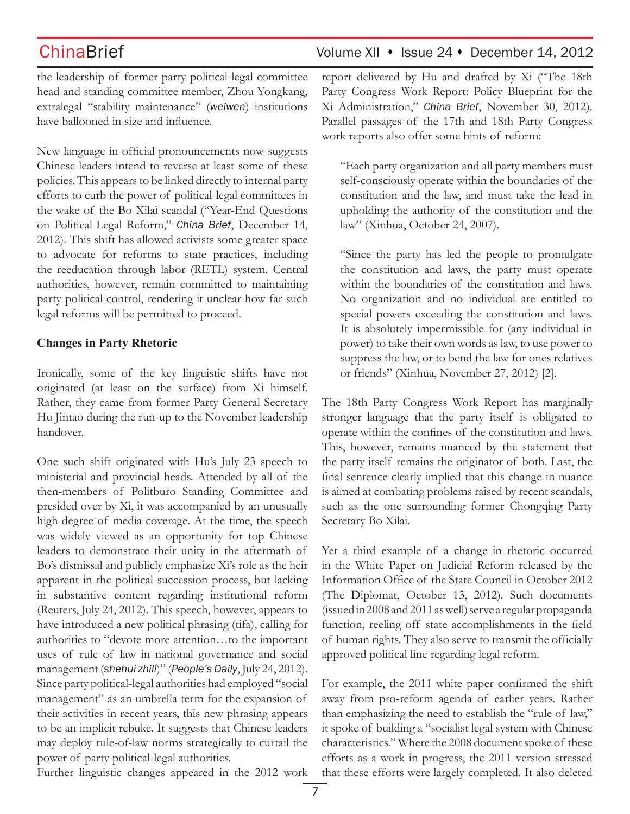the leadership of former party political-legal committee head and standing committee member, Zhou Yongkang, extralegal "stability maintenance" (*weiwen*) institutions have ballooned in size and influence.

New language in official pronouncements now suggests Chinese leaders intend to reverse at least some of these policies. This appears to be linked directly to internal party efforts to curb the power of political-legal committees in the wake of the Bo Xilai scandal ("Year-End Questions on Political-Legal Reform," *China Brief*, December 14, 2012). This shift has allowed activists some greater space to advocate for reforms to state practices, including the reeducation through labor (RETL) system. Central authorities, however, remain committed to maintaining party political control, rendering it unclear how far such legal reforms will be permitted to proceed.

### **Changes in Party Rhetoric**

Ironically, some of the key linguistic shifts have not originated (at least on the surface) from Xi himself. Rather, they came from former Party General Secretary Hu Jintao during the run-up to the November leadership handover.

One such shift originated with Hu's July 23 speech to ministerial and provincial heads. Attended by all of the then-members of Politburo Standing Committee and presided over by Xi, it was accompanied by an unusually high degree of media coverage. At the time, the speech was widely viewed as an opportunity for top Chinese leaders to demonstrate their unity in the aftermath of Bo's dismissal and publicly emphasize Xi's role as the heir apparent in the political succession process, but lacking in substantive content regarding institutional reform (Reuters, July 24, 2012). This speech, however, appears to have introduced a new political phrasing (tifa), calling for authorities to "devote more attention…to the important uses of rule of law in national governance and social management (*shehui zhili*)" (*People's Daily*, July 24, 2012). Since party political-legal authorities had employed "social management" as an umbrella term for the expansion of their activities in recent years, this new phrasing appears to be an implicit rebuke. It suggests that Chinese leaders may deploy rule-of-law norms strategically to curtail the power of party political-legal authorities.

Further linguistic changes appeared in the 2012 work

report delivered by Hu and drafted by Xi ("The 18th Party Congress Work Report: Policy Blueprint for the Xi Administration," *China Brief*, November 30, 2012). Parallel passages of the 17th and 18th Party Congress work reports also offer some hints of reform:

"Each party organization and all party members must self-consciously operate within the boundaries of the constitution and the law, and must take the lead in upholding the authority of the constitution and the law" (Xinhua, October 24, 2007).

"Since the party has led the people to promulgate the constitution and laws, the party must operate within the boundaries of the constitution and laws. No organization and no individual are entitled to special powers exceeding the constitution and laws. It is absolutely impermissible for (any individual in power) to take their own words as law, to use power to suppress the law, or to bend the law for ones relatives or friends" (Xinhua, November 27, 2012) [2].

The 18th Party Congress Work Report has marginally stronger language that the party itself is obligated to operate within the confines of the constitution and laws. This, however, remains nuanced by the statement that the party itself remains the originator of both. Last, the final sentence clearly implied that this change in nuance is aimed at combating problems raised by recent scandals, such as the one surrounding former Chongqing Party Secretary Bo Xilai.

Yet a third example of a change in rhetoric occurred in the White Paper on Judicial Reform released by the Information Office of the State Council in October 2012 (The Diplomat, October 13, 2012). Such documents (issued in 2008 and 2011 as well) serve a regular propaganda function, reeling off state accomplishments in the field of human rights. They also serve to transmit the officially approved political line regarding legal reform.

For example, the 2011 white paper confirmed the shift away from pro-reform agenda of earlier years. Rather than emphasizing the need to establish the "rule of law," it spoke of building a "socialist legal system with Chinese characteristics." Where the 2008 document spoke of these efforts as a work in progress, the 2011 version stressed that these efforts were largely completed. It also deleted

# ChinaBrief Volume XII • Issue 24 • December 14, 2012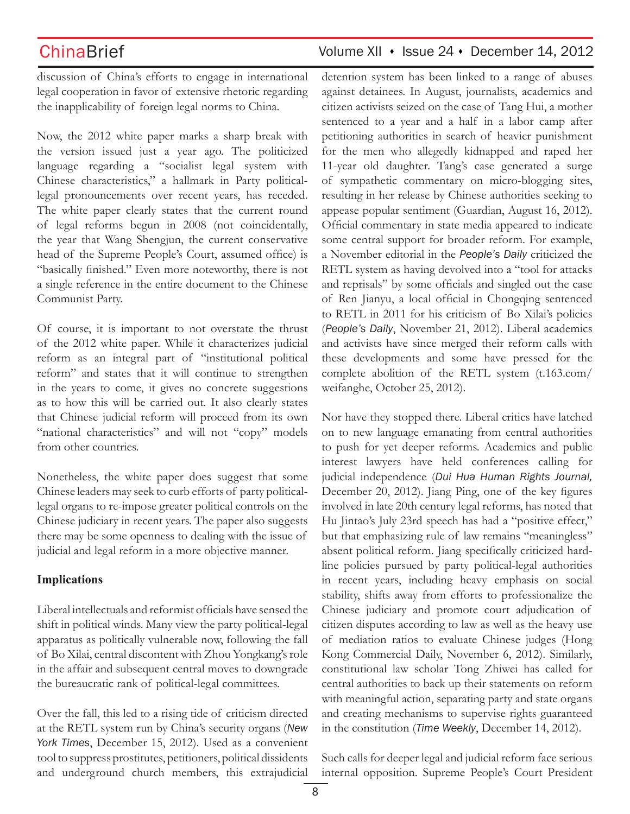ChinaBrief Volume XII • Issue 24 • December 14, 2012

discussion of China's efforts to engage in international legal cooperation in favor of extensive rhetoric regarding the inapplicability of foreign legal norms to China.

Now, the 2012 white paper marks a sharp break with the version issued just a year ago. The politicized language regarding a "socialist legal system with Chinese characteristics," a hallmark in Party politicallegal pronouncements over recent years, has receded. The white paper clearly states that the current round of legal reforms begun in 2008 (not coincidentally, the year that Wang Shengjun, the current conservative head of the Supreme People's Court, assumed office) is "basically finished." Even more noteworthy, there is not a single reference in the entire document to the Chinese Communist Party.

Of course, it is important to not overstate the thrust of the 2012 white paper. While it characterizes judicial reform as an integral part of "institutional political reform" and states that it will continue to strengthen in the years to come, it gives no concrete suggestions as to how this will be carried out. It also clearly states that Chinese judicial reform will proceed from its own "national characteristics" and will not "copy" models from other countries.

Nonetheless, the white paper does suggest that some Chinese leaders may seek to curb efforts of party politicallegal organs to re-impose greater political controls on the Chinese judiciary in recent years. The paper also suggests there may be some openness to dealing with the issue of judicial and legal reform in a more objective manner.

### **Implications**

Liberal intellectuals and reformist officials have sensed the shift in political winds. Many view the party political-legal apparatus as politically vulnerable now, following the fall of Bo Xilai, central discontent with Zhou Yongkang's role in the affair and subsequent central moves to downgrade the bureaucratic rank of political-legal committees.

Over the fall, this led to a rising tide of criticism directed at the RETL system run by China's security organs (*New York Times*, December 15, 2012). Used as a convenient tool to suppress prostitutes, petitioners, political dissidents and underground church members, this extrajudicial detention system has been linked to a range of abuses against detainees. In August, journalists, academics and citizen activists seized on the case of Tang Hui, a mother sentenced to a year and a half in a labor camp after petitioning authorities in search of heavier punishment for the men who allegedly kidnapped and raped her 11-year old daughter. Tang's case generated a surge of sympathetic commentary on micro-blogging sites, resulting in her release by Chinese authorities seeking to appease popular sentiment (Guardian, August 16, 2012). Official commentary in state media appeared to indicate some central support for broader reform. For example, a November editorial in the *People's Daily* criticized the RETL system as having devolved into a "tool for attacks and reprisals" by some officials and singled out the case of Ren Jianyu, a local official in Chongqing sentenced to RETL in 2011 for his criticism of Bo Xilai's policies (*People's Daily*, November 21, 2012). Liberal academics and activists have since merged their reform calls with these developments and some have pressed for the complete abolition of the RETL system (t.163.com/ weifanghe, October 25, 2012).

Nor have they stopped there. Liberal critics have latched on to new language emanating from central authorities to push for yet deeper reforms. Academics and public interest lawyers have held conferences calling for judicial independence (*Dui Hua Human Rights Journal,*  December 20, 2012). Jiang Ping, one of the key figures involved in late 20th century legal reforms, has noted that Hu Jintao's July 23rd speech has had a "positive effect," but that emphasizing rule of law remains "meaningless" absent political reform. Jiang specifically criticized hardline policies pursued by party political-legal authorities in recent years, including heavy emphasis on social stability, shifts away from efforts to professionalize the Chinese judiciary and promote court adjudication of citizen disputes according to law as well as the heavy use of mediation ratios to evaluate Chinese judges (Hong Kong Commercial Daily, November 6, 2012). Similarly, constitutional law scholar Tong Zhiwei has called for central authorities to back up their statements on reform with meaningful action, separating party and state organs and creating mechanisms to supervise rights guaranteed in the constitution (*Time Weekly*, December 14, 2012).

Such calls for deeper legal and judicial reform face serious internal opposition. Supreme People's Court President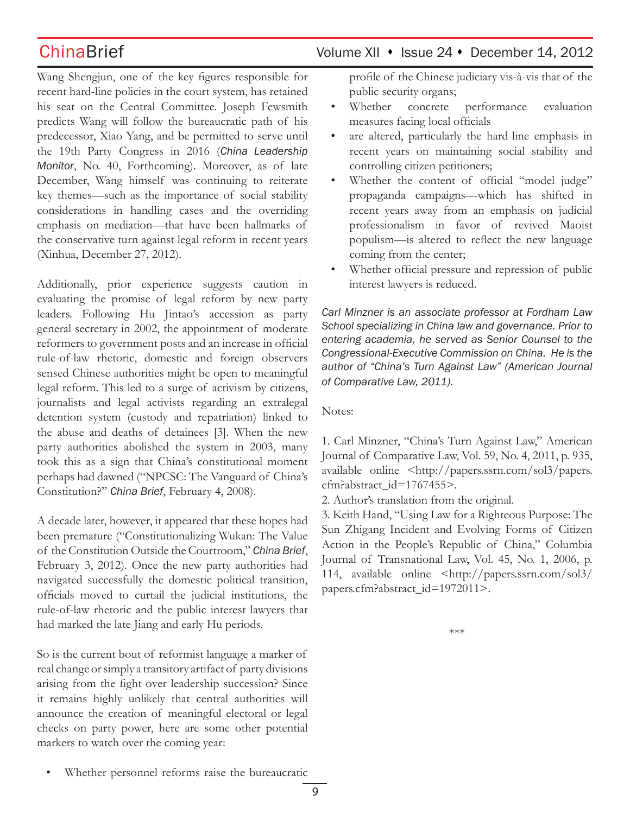Wang Shengjun, one of the key figures responsible for recent hard-line policies in the court system, has retained his seat on the Central Committee. Joseph Fewsmith predicts Wang will follow the bureaucratic path of his predecessor, Xiao Yang, and be permitted to serve until the 19th Party Congress in 2016 (*China Leadership Monitor*, No. 40, Forthcoming). Moreover, as of late December, Wang himself was continuing to reiterate key themes—such as the importance of social stability considerations in handling cases and the overriding emphasis on mediation—that have been hallmarks of the conservative turn against legal reform in recent years (Xinhua, December 27, 2012).

Additionally, prior experience suggests caution in evaluating the promise of legal reform by new party leaders. Following Hu Jintao's accession as party general secretary in 2002, the appointment of moderate reformers to government posts and an increase in official rule-of-law rhetoric, domestic and foreign observers sensed Chinese authorities might be open to meaningful legal reform. This led to a surge of activism by citizens, journalists and legal activists regarding an extralegal detention system (custody and repatriation) linked to the abuse and deaths of detainees [3]. When the new party authorities abolished the system in 2003, many took this as a sign that China's constitutional moment perhaps had dawned ("NPCSC: The Vanguard of China's Constitution?" *China Brief*, February 4, 2008).

A decade later, however, it appeared that these hopes had been premature ("Constitutionalizing Wukan: The Value of the Constitution Outside the Courtroom," *China Brief*, February 3, 2012). Once the new party authorities had navigated successfully the domestic political transition, officials moved to curtail the judicial institutions, the rule-of-law rhetoric and the public interest lawyers that had marked the late Jiang and early Hu periods.

So is the current bout of reformist language a marker of real change or simply a transitory artifact of party divisions arising from the fight over leadership succession? Since it remains highly unlikely that central authorities will announce the creation of meaningful electoral or legal checks on party power, here are some other potential markers to watch over the coming year:

profile of the Chinese judiciary vis-à-vis that of the public security organs;

- Whether concrete performance evaluation measures facing local officials
- are altered, particularly the hard-line emphasis in recent years on maintaining social stability and controlling citizen petitioners;
- Whether the content of official "model judge" propaganda campaigns—which has shifted in recent years away from an emphasis on judicial professionalism in favor of revived Maoist populism—is altered to reflect the new language coming from the center;
- Whether official pressure and repression of public interest lawyers is reduced.

*Carl Minzner is an associate professor at Fordham Law School specializing in China law and governance. Prior to entering academia, he served as Senior Counsel to the Congressional-Executive Commission on China. He is the author of "China's Turn Against Law" (American Journal of Comparative Law, 2011).*

Notes:

1. Carl Minzner, "China's Turn Against Law," American Journal of Comparative Law, Vol. 59, No. 4, 2011, p. 935, available online <http://papers.ssrn.com/sol3/papers. cfm?abstract\_id=1767455>.

2. Author's translation from the original.

3. Keith Hand, "Using Law for a Righteous Purpose: The Sun Zhigang Incident and Evolving Forms of Citizen Action in the People's Republic of China," Columbia Journal of Transnational Law, Vol. 45, No. 1, 2006, p. 114, available online <http://papers.ssrn.com/sol3/ papers.cfm?abstract\_id=1972011>.

\*\*\*

Whether personnel reforms raise the bureaucratic

# ChinaBrief ChinaBrief Volume XII • Issue 24 • December 14, 2012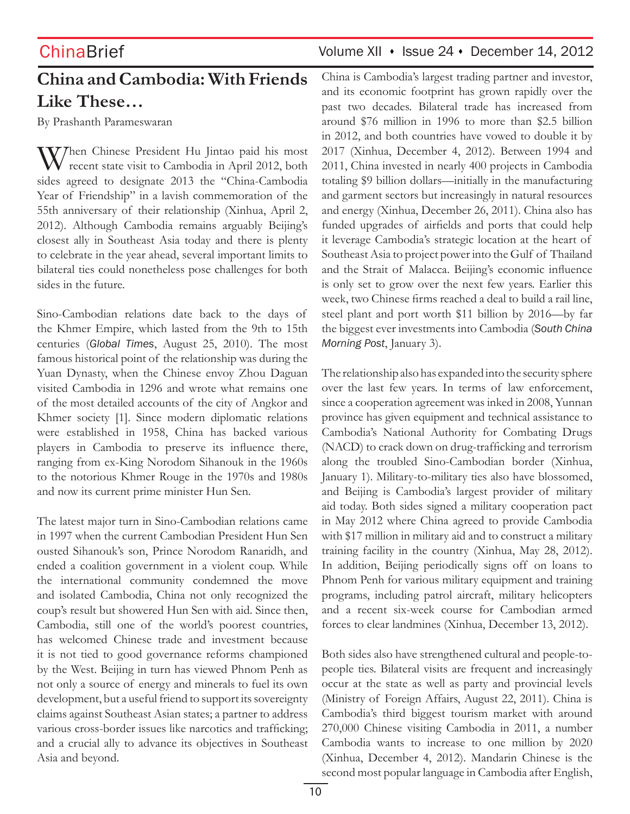# **China and Cambodia: With Friends Like These…**

By Prashanth Parameswaran

When Chinese President Hu Jintao paid his most<br>recent state visit to Cambodia in April 2012, both sides agreed to designate 2013 the "China-Cambodia Year of Friendship" in a lavish commemoration of the 55th anniversary of their relationship (Xinhua, April 2, 2012). Although Cambodia remains arguably Beijing's closest ally in Southeast Asia today and there is plenty to celebrate in the year ahead, several important limits to bilateral ties could nonetheless pose challenges for both sides in the future.

Sino-Cambodian relations date back to the days of the Khmer Empire, which lasted from the 9th to 15th centuries (*Global Times*, August 25, 2010). The most famous historical point of the relationship was during the Yuan Dynasty, when the Chinese envoy Zhou Daguan visited Cambodia in 1296 and wrote what remains one of the most detailed accounts of the city of Angkor and Khmer society [1]. Since modern diplomatic relations were established in 1958, China has backed various players in Cambodia to preserve its influence there, ranging from ex-King Norodom Sihanouk in the 1960s to the notorious Khmer Rouge in the 1970s and 1980s and now its current prime minister Hun Sen.

The latest major turn in Sino-Cambodian relations came in 1997 when the current Cambodian President Hun Sen ousted Sihanouk's son, Prince Norodom Ranaridh, and ended a coalition government in a violent coup. While the international community condemned the move and isolated Cambodia, China not only recognized the coup's result but showered Hun Sen with aid. Since then, Cambodia, still one of the world's poorest countries, has welcomed Chinese trade and investment because it is not tied to good governance reforms championed by the West. Beijing in turn has viewed Phnom Penh as not only a source of energy and minerals to fuel its own development, but a useful friend to support its sovereignty claims against Southeast Asian states; a partner to address various cross-border issues like narcotics and trafficking; and a crucial ally to advance its objectives in Southeast Asia and beyond.

# ChinaBrief Volume XII • Issue 24 • December 14, 2012

China is Cambodia's largest trading partner and investor, and its economic footprint has grown rapidly over the past two decades. Bilateral trade has increased from around \$76 million in 1996 to more than \$2.5 billion in 2012, and both countries have vowed to double it by 2017 (Xinhua, December 4, 2012). Between 1994 and 2011, China invested in nearly 400 projects in Cambodia totaling \$9 billion dollars—initially in the manufacturing and garment sectors but increasingly in natural resources and energy (Xinhua, December 26, 2011). China also has funded upgrades of airfields and ports that could help it leverage Cambodia's strategic location at the heart of Southeast Asia to project power into the Gulf of Thailand and the Strait of Malacca. Beijing's economic influence is only set to grow over the next few years. Earlier this week, two Chinese firms reached a deal to build a rail line, steel plant and port worth \$11 billion by 2016—by far the biggest ever investments into Cambodia (*South China Morning Post*, January 3).

The relationship also has expanded into the security sphere over the last few years. In terms of law enforcement, since a cooperation agreement was inked in 2008, Yunnan province has given equipment and technical assistance to Cambodia's National Authority for Combating Drugs (NACD) to crack down on drug-trafficking and terrorism along the troubled Sino-Cambodian border (Xinhua, January 1). Military-to-military ties also have blossomed, and Beijing is Cambodia's largest provider of military aid today. Both sides signed a military cooperation pact in May 2012 where China agreed to provide Cambodia with \$17 million in military aid and to construct a military training facility in the country (Xinhua, May 28, 2012). In addition, Beijing periodically signs off on loans to Phnom Penh for various military equipment and training programs, including patrol aircraft, military helicopters and a recent six-week course for Cambodian armed forces to clear landmines (Xinhua, December 13, 2012).

Both sides also have strengthened cultural and people-topeople ties. Bilateral visits are frequent and increasingly occur at the state as well as party and provincial levels (Ministry of Foreign Affairs, August 22, 2011). China is Cambodia's third biggest tourism market with around 270,000 Chinese visiting Cambodia in 2011, a number Cambodia wants to increase to one million by 2020 (Xinhua, December 4, 2012). Mandarin Chinese is the second most popular language in Cambodia after English,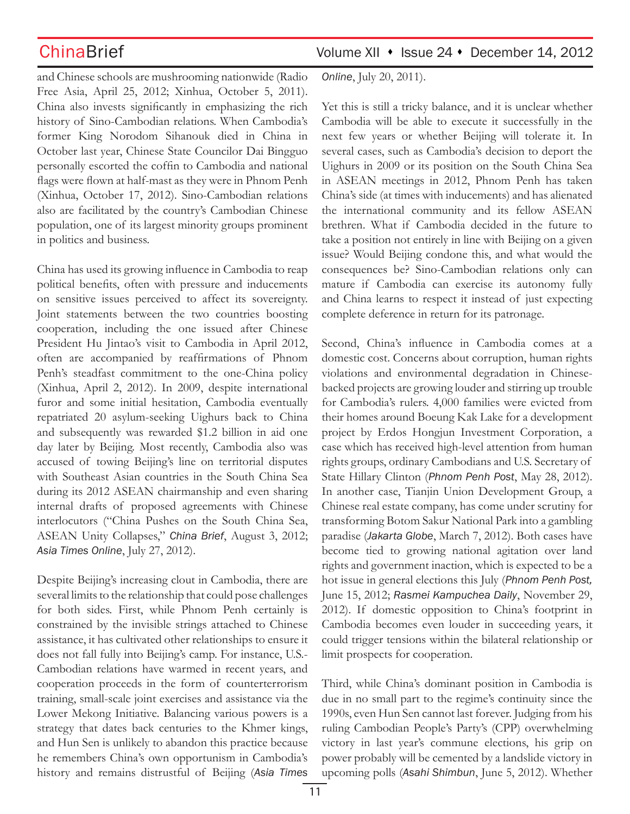and Chinese schools are mushrooming nationwide (Radio Free Asia, April 25, 2012; Xinhua, October 5, 2011). China also invests significantly in emphasizing the rich history of Sino-Cambodian relations. When Cambodia's former King Norodom Sihanouk died in China in October last year, Chinese State Councilor Dai Bingguo personally escorted the coffin to Cambodia and national flags were flown at half-mast as they were in Phnom Penh (Xinhua, October 17, 2012). Sino-Cambodian relations also are facilitated by the country's Cambodian Chinese population, one of its largest minority groups prominent in politics and business.

China has used its growing influence in Cambodia to reap political benefits, often with pressure and inducements on sensitive issues perceived to affect its sovereignty. Joint statements between the two countries boosting cooperation, including the one issued after Chinese President Hu Jintao's visit to Cambodia in April 2012, often are accompanied by reaffirmations of Phnom Penh's steadfast commitment to the one-China policy (Xinhua, April 2, 2012). In 2009, despite international furor and some initial hesitation, Cambodia eventually repatriated 20 asylum-seeking Uighurs back to China and subsequently was rewarded \$1.2 billion in aid one day later by Beijing. Most recently, Cambodia also was accused of towing Beijing's line on territorial disputes with Southeast Asian countries in the South China Sea during its 2012 ASEAN chairmanship and even sharing internal drafts of proposed agreements with Chinese interlocutors ("China Pushes on the South China Sea, ASEAN Unity Collapses," *China Brief*, August 3, 2012; *Asia Times Online*, July 27, 2012).

Despite Beijing's increasing clout in Cambodia, there are several limits to the relationship that could pose challenges for both sides. First, while Phnom Penh certainly is constrained by the invisible strings attached to Chinese assistance, it has cultivated other relationships to ensure it does not fall fully into Beijing's camp. For instance, U.S.- Cambodian relations have warmed in recent years, and cooperation proceeds in the form of counterterrorism training, small-scale joint exercises and assistance via the Lower Mekong Initiative. Balancing various powers is a strategy that dates back centuries to the Khmer kings, and Hun Sen is unlikely to abandon this practice because he remembers China's own opportunism in Cambodia's history and remains distrustful of Beijing (*Asia Times* 

ChinaBrief Volume XII • Issue 24 • December 14, 2012

*Online*, July 20, 2011).

Yet this is still a tricky balance, and it is unclear whether Cambodia will be able to execute it successfully in the next few years or whether Beijing will tolerate it. In several cases, such as Cambodia's decision to deport the Uighurs in 2009 or its position on the South China Sea in ASEAN meetings in 2012, Phnom Penh has taken China's side (at times with inducements) and has alienated the international community and its fellow ASEAN brethren. What if Cambodia decided in the future to take a position not entirely in line with Beijing on a given issue? Would Beijing condone this, and what would the consequences be? Sino-Cambodian relations only can mature if Cambodia can exercise its autonomy fully and China learns to respect it instead of just expecting complete deference in return for its patronage.

Second, China's influence in Cambodia comes at a domestic cost. Concerns about corruption, human rights violations and environmental degradation in Chinesebacked projects are growing louder and stirring up trouble for Cambodia's rulers. 4,000 families were evicted from their homes around Boeung Kak Lake for a development project by Erdos Hongjun Investment Corporation, a case which has received high-level attention from human rights groups, ordinary Cambodians and U.S. Secretary of State Hillary Clinton (*Phnom Penh Post*, May 28, 2012). In another case, Tianjin Union Development Group, a Chinese real estate company, has come under scrutiny for transforming Botom Sakur National Park into a gambling paradise (*Jakarta Globe*, March 7, 2012). Both cases have become tied to growing national agitation over land rights and government inaction, which is expected to be a hot issue in general elections this July (*Phnom Penh Post,*  June 15, 2012; *Rasmei Kampuchea Daily*, November 29, 2012). If domestic opposition to China's footprint in Cambodia becomes even louder in succeeding years, it could trigger tensions within the bilateral relationship or limit prospects for cooperation.

Third, while China's dominant position in Cambodia is due in no small part to the regime's continuity since the 1990s, even Hun Sen cannot last forever. Judging from his ruling Cambodian People's Party's (CPP) overwhelming victory in last year's commune elections, his grip on power probably will be cemented by a landslide victory in upcoming polls (*Asahi Shimbun*, June 5, 2012). Whether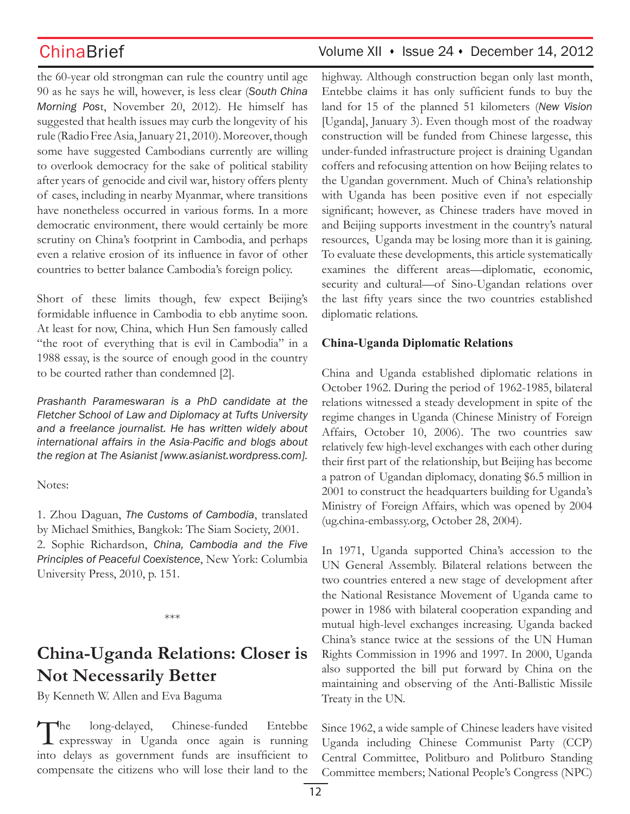the 60-year old strongman can rule the country until age 90 as he says he will, however, is less clear (*South China Morning Pos*t, November 20, 2012). He himself has suggested that health issues may curb the longevity of his rule (Radio Free Asia, January 21, 2010). Moreover, though some have suggested Cambodians currently are willing to overlook democracy for the sake of political stability after years of genocide and civil war, history offers plenty of cases, including in nearby Myanmar, where transitions have nonetheless occurred in various forms. In a more democratic environment, there would certainly be more scrutiny on China's footprint in Cambodia, and perhaps even a relative erosion of its influence in favor of other countries to better balance Cambodia's foreign policy.

Short of these limits though, few expect Beijing's formidable influence in Cambodia to ebb anytime soon. At least for now, China, which Hun Sen famously called "the root of everything that is evil in Cambodia" in a 1988 essay, is the source of enough good in the country to be courted rather than condemned [2].

*Prashanth Parameswaran is a PhD candidate at the Fletcher School of Law and Diplomacy at Tufts University and a freelance journalist. He has written widely about international affairs in the Asia-Pacific and blogs about the region at The Asianist [www.asianist.wordpress.com].*

Notes:

1. Zhou Daguan, *The Customs of Cambodia*, translated by Michael Smithies, Bangkok: The Siam Society, 2001. 2. Sophie Richardson, *China, Cambodia and the Five Principles of Peaceful Coexistence*, New York: Columbia University Press, 2010, p. 151.

### \*\*\*

# **China-Uganda Relations: Closer is Not Necessarily Better**

By Kenneth W. Allen and Eva Baguma

The long-delayed, Chinese-funded Entebbe expressway in Uganda once again is running into delays as government funds are insufficient to compensate the citizens who will lose their land to the

## ChinaBrief Volume XII • Issue 24 • December 14, 2012

highway. Although construction began only last month, Entebbe claims it has only sufficient funds to buy the land for 15 of the planned 51 kilometers (*New Vision*  [Uganda], January 3). Even though most of the roadway construction will be funded from Chinese largesse, this under-funded infrastructure project is draining Ugandan coffers and refocusing attention on how Beijing relates to the Ugandan government. Much of China's relationship with Uganda has been positive even if not especially significant; however, as Chinese traders have moved in and Beijing supports investment in the country's natural resources, Uganda may be losing more than it is gaining. To evaluate these developments, this article systematically examines the different areas—diplomatic, economic, security and cultural—of Sino-Ugandan relations over the last fifty years since the two countries established diplomatic relations.

### **China-Uganda Diplomatic Relations**

China and Uganda established diplomatic relations in October 1962. During the period of 1962-1985, bilateral relations witnessed a steady development in spite of the regime changes in Uganda (Chinese Ministry of Foreign Affairs, October 10, 2006). The two countries saw relatively few high-level exchanges with each other during their first part of the relationship, but Beijing has become a patron of Ugandan diplomacy, donating \$6.5 million in 2001 to construct the headquarters building for Uganda's Ministry of Foreign Affairs, which was opened by 2004 (ug.china-embassy.org, October 28, 2004).

In 1971, Uganda supported China's accession to the UN General Assembly. Bilateral relations between the two countries entered a new stage of development after the National Resistance Movement of Uganda came to power in 1986 with bilateral cooperation expanding and mutual high-level exchanges increasing. Uganda backed China's stance twice at the sessions of the UN Human Rights Commission in 1996 and 1997. In 2000, Uganda also supported the bill put forward by China on the maintaining and observing of the Anti-Ballistic Missile Treaty in the UN.

Since 1962, a wide sample of Chinese leaders have visited Uganda including Chinese Communist Party (CCP) Central Committee, Politburo and Politburo Standing Committee members; National People's Congress (NPC)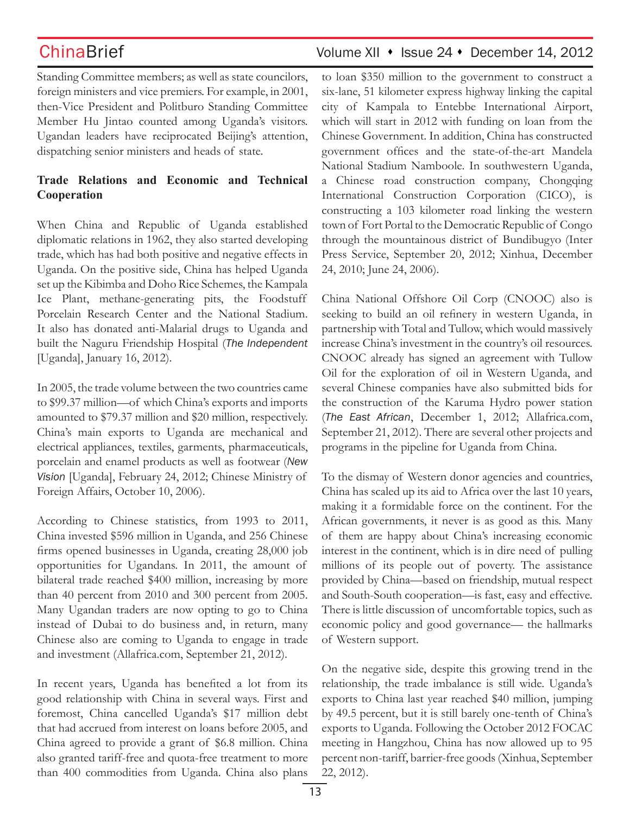## ChinaBrief Volume XII • Issue 24 • December 14, 2012

Standing Committee members; as well as state councilors, foreign ministers and vice premiers. For example, in 2001, then-Vice President and Politburo Standing Committee Member Hu Jintao counted among Uganda's visitors. Ugandan leaders have reciprocated Beijing's attention, dispatching senior ministers and heads of state.

### **Trade Relations and Economic and Technical Cooperation**

When China and Republic of Uganda established diplomatic relations in 1962, they also started developing trade, which has had both positive and negative effects in Uganda. On the positive side, China has helped Uganda set up the Kibimba and Doho Rice Schemes, the Kampala Ice Plant, methane-generating pits, the Foodstuff Porcelain Research Center and the National Stadium. It also has donated anti-Malarial drugs to Uganda and built the Naguru Friendship Hospital (*The Independent*  [Uganda], January 16, 2012).

In 2005, the trade volume between the two countries came to \$99.37 million—of which China's exports and imports amounted to \$79.37 million and \$20 million, respectively. China's main exports to Uganda are mechanical and electrical appliances, textiles, garments, pharmaceuticals, porcelain and enamel products as well as footwear (*New Vision* [Uganda], February 24, 2012; Chinese Ministry of Foreign Affairs, October 10, 2006).

According to Chinese statistics, from 1993 to 2011, China invested \$596 million in Uganda, and 256 Chinese firms opened businesses in Uganda, creating 28,000 job opportunities for Ugandans. In 2011, the amount of bilateral trade reached \$400 million, increasing by more than 40 percent from 2010 and 300 percent from 2005. Many Ugandan traders are now opting to go to China instead of Dubai to do business and, in return, many Chinese also are coming to Uganda to engage in trade and investment (Allafrica.com, September 21, 2012).

In recent years, Uganda has benefited a lot from its good relationship with China in several ways. First and foremost, China cancelled Uganda's \$17 million debt that had accrued from interest on loans before 2005, and China agreed to provide a grant of \$6.8 million. China also granted tariff-free and quota-free treatment to more than 400 commodities from Uganda. China also plans to loan \$350 million to the government to construct a six-lane, 51 kilometer express highway linking the capital city of Kampala to Entebbe International Airport, which will start in 2012 with funding on loan from the Chinese Government. In addition, China has constructed government offices and the state-of-the-art Mandela National Stadium Namboole. In southwestern Uganda, a Chinese road construction company, Chongqing International Construction Corporation (CICO), is constructing a 103 kilometer road linking the western town of Fort Portal to the Democratic Republic of Congo through the mountainous district of Bundibugyo (Inter Press Service, September 20, 2012; Xinhua, December 24, 2010; June 24, 2006).

China National Offshore Oil Corp (CNOOC) also is seeking to build an oil refinery in western Uganda, in partnership with Total and Tullow, which would massively increase China's investment in the country's oil resources. CNOOC already has signed an agreement with Tullow Oil for the exploration of oil in Western Uganda, and several Chinese companies have also submitted bids for the construction of the Karuma Hydro power station (*The East African*, December 1, 2012; Allafrica.com, September 21, 2012). There are several other projects and programs in the pipeline for Uganda from China.

To the dismay of Western donor agencies and countries, China has scaled up its aid to Africa over the last 10 years, making it a formidable force on the continent. For the African governments, it never is as good as this. Many of them are happy about China's increasing economic interest in the continent, which is in dire need of pulling millions of its people out of poverty. The assistance provided by China—based on friendship, mutual respect and South-South cooperation—is fast, easy and effective. There is little discussion of uncomfortable topics, such as economic policy and good governance— the hallmarks of Western support.

On the negative side, despite this growing trend in the relationship, the trade imbalance is still wide. Uganda's exports to China last year reached \$40 million, jumping by 49.5 percent, but it is still barely one-tenth of China's exports to Uganda. Following the October 2012 FOCAC meeting in Hangzhou, China has now allowed up to 95 percent non-tariff, barrier-free goods (Xinhua, September 22, 2012).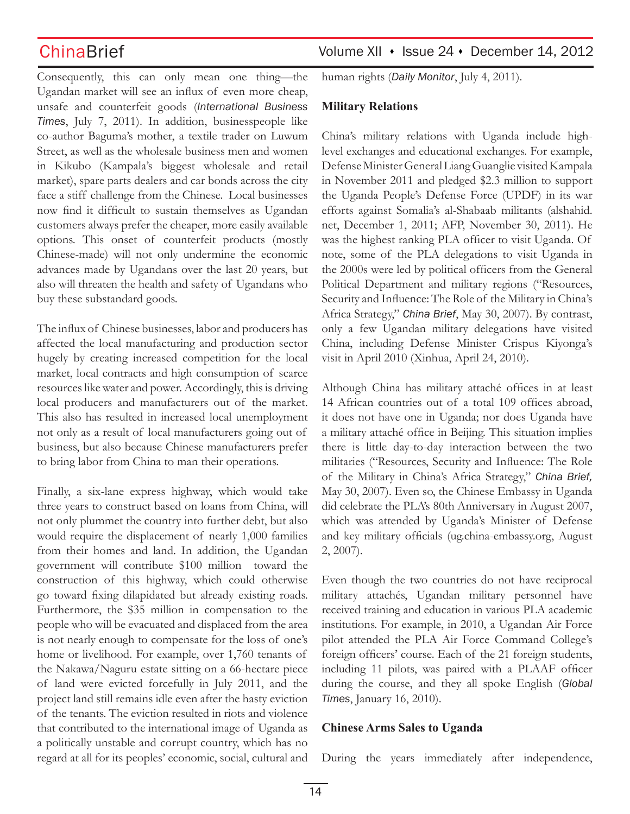Consequently, this can only mean one thing—the Ugandan market will see an influx of even more cheap, unsafe and counterfeit goods (*International Business Times*, July 7, 2011). In addition, businesspeople like co-author Baguma's mother, a textile trader on Luwum Street, as well as the wholesale business men and women in Kikubo (Kampala's biggest wholesale and retail market), spare parts dealers and car bonds across the city face a stiff challenge from the Chinese. Local businesses now find it difficult to sustain themselves as Ugandan customers always prefer the cheaper, more easily available options. This onset of counterfeit products (mostly Chinese-made) will not only undermine the economic advances made by Ugandans over the last 20 years, but also will threaten the health and safety of Ugandans who buy these substandard goods.

The influx of Chinese businesses, labor and producers has affected the local manufacturing and production sector hugely by creating increased competition for the local market, local contracts and high consumption of scarce resources like water and power. Accordingly, this is driving local producers and manufacturers out of the market. This also has resulted in increased local unemployment not only as a result of local manufacturers going out of business, but also because Chinese manufacturers prefer to bring labor from China to man their operations.

Finally, a six-lane express highway, which would take three years to construct based on loans from China, will not only plummet the country into further debt, but also would require the displacement of nearly 1,000 families from their homes and land. In addition, the Ugandan government will contribute \$100 million toward the construction of this highway, which could otherwise go toward fixing dilapidated but already existing roads. Furthermore, the \$35 million in compensation to the people who will be evacuated and displaced from the area is not nearly enough to compensate for the loss of one's home or livelihood. For example, over 1,760 tenants of the Nakawa/Naguru estate sitting on a 66-hectare piece of land were evicted forcefully in July 2011, and the project land still remains idle even after the hasty eviction of the tenants. The eviction resulted in riots and violence that contributed to the international image of Uganda as a politically unstable and corrupt country, which has no regard at all for its peoples' economic, social, cultural and

## ChinaBrief Volume XII • Issue 24 • December 14, 2012

human rights (*Daily Monitor*, July 4, 2011).

### **Military Relations**

China's military relations with Uganda include highlevel exchanges and educational exchanges. For example, Defense Minister General Liang Guanglie visited Kampala in November 2011 and pledged \$2.3 million to support the Uganda People's Defense Force (UPDF) in its war efforts against Somalia's al-Shabaab militants (alshahid. net, December 1, 2011; AFP, November 30, 2011). He was the highest ranking PLA officer to visit Uganda. Of note, some of the PLA delegations to visit Uganda in the 2000s were led by political officers from the General Political Department and military regions ("Resources, Security and Influence: The Role of the Military in China's Africa Strategy," *China Brief*, May 30, 2007). By contrast, only a few Ugandan military delegations have visited China, including Defense Minister Crispus Kiyonga's visit in April 2010 (Xinhua, April 24, 2010).

Although China has military attaché offices in at least 14 African countries out of a total 109 offices abroad, it does not have one in Uganda; nor does Uganda have a military attaché office in Beijing. This situation implies there is little day-to-day interaction between the two militaries ("Resources, Security and Influence: The Role of the Military in China's Africa Strategy," *China Brief,*  May 30, 2007). Even so, the Chinese Embassy in Uganda did celebrate the PLA's 80th Anniversary in August 2007, which was attended by Uganda's Minister of Defense and key military officials (ug.china-embassy.org, August 2, 2007).

Even though the two countries do not have reciprocal military attachés, Ugandan military personnel have received training and education in various PLA academic institutions. For example, in 2010, a Ugandan Air Force pilot attended the PLA Air Force Command College's foreign officers' course. Each of the 21 foreign students, including 11 pilots, was paired with a PLAAF officer during the course, and they all spoke English (*Global Times*, January 16, 2010).

### **Chinese Arms Sales to Uganda**

During the years immediately after independence,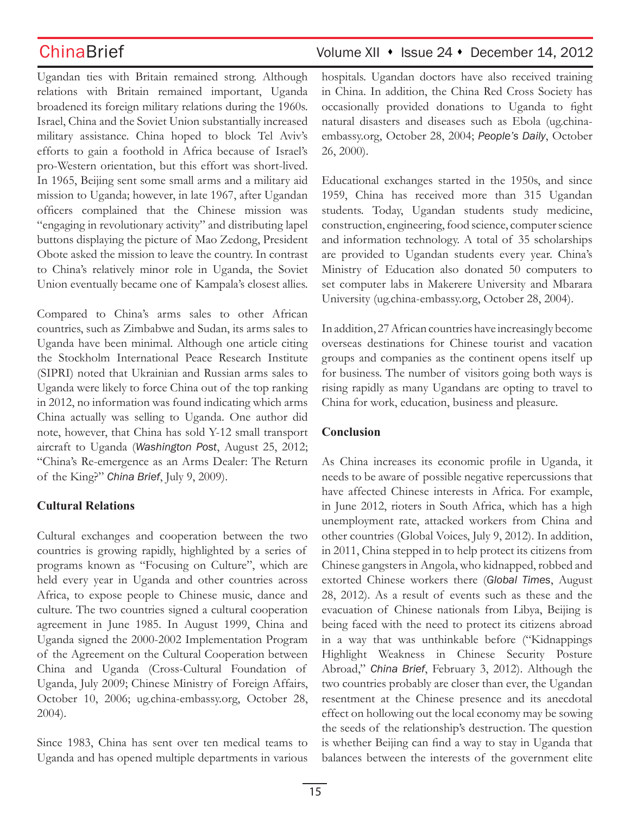Ugandan ties with Britain remained strong. Although relations with Britain remained important, Uganda broadened its foreign military relations during the 1960s. Israel, China and the Soviet Union substantially increased military assistance. China hoped to block Tel Aviv's efforts to gain a foothold in Africa because of Israel's pro-Western orientation, but this effort was short-lived. In 1965, Beijing sent some small arms and a military aid mission to Uganda; however, in late 1967, after Ugandan officers complained that the Chinese mission was "engaging in revolutionary activity" and distributing lapel buttons displaying the picture of Mao Zedong, President Obote asked the mission to leave the country. In contrast to China's relatively minor role in Uganda, the Soviet Union eventually became one of Kampala's closest allies.

Compared to China's arms sales to other African countries, such as Zimbabwe and Sudan, its arms sales to Uganda have been minimal. Although one article citing the Stockholm International Peace Research Institute (SIPRI) noted that Ukrainian and Russian arms sales to Uganda were likely to force China out of the top ranking in 2012, no information was found indicating which arms China actually was selling to Uganda. One author did note, however, that China has sold Y-12 small transport aircraft to Uganda (*Washington Post*, August 25, 2012; "China's Re-emergence as an Arms Dealer: The Return of the King?" *China Brief*, July 9, 2009).

### **Cultural Relations**

Cultural exchanges and cooperation between the two countries is growing rapidly, highlighted by a series of programs known as "Focusing on Culture", which are held every year in Uganda and other countries across Africa, to expose people to Chinese music, dance and culture. The two countries signed a cultural cooperation agreement in June 1985. In August 1999, China and Uganda signed the 2000-2002 Implementation Program of the Agreement on the Cultural Cooperation between China and Uganda (Cross-Cultural Foundation of Uganda, July 2009; Chinese Ministry of Foreign Affairs, October 10, 2006; ug.china-embassy.org, October 28, 2004).

Since 1983, China has sent over ten medical teams to Uganda and has opened multiple departments in various

# ChinaBrief Volume XII • Issue 24 • December 14, 2012

hospitals. Ugandan doctors have also received training in China. In addition, the China Red Cross Society has occasionally provided donations to Uganda to fight natural disasters and diseases such as Ebola (ug.chinaembassy.org, October 28, 2004; *People's Daily*, October 26, 2000).

Educational exchanges started in the 1950s, and since 1959, China has received more than 315 Ugandan students. Today, Ugandan students study medicine, construction, engineering, food science, computer science and information technology. A total of 35 scholarships are provided to Ugandan students every year. China's Ministry of Education also donated 50 computers to set computer labs in Makerere University and Mbarara University (ug.china-embassy.org, October 28, 2004).

In addition, 27 African countries have increasingly become overseas destinations for Chinese tourist and vacation groups and companies as the continent opens itself up for business. The number of visitors going both ways is rising rapidly as many Ugandans are opting to travel to China for work, education, business and pleasure.

### **Conclusion**

As China increases its economic profile in Uganda, it needs to be aware of possible negative repercussions that have affected Chinese interests in Africa. For example, in June 2012, rioters in South Africa, which has a high unemployment rate, attacked workers from China and other countries (Global Voices, July 9, 2012). In addition, in 2011, China stepped in to help protect its citizens from Chinese gangsters in Angola, who kidnapped, robbed and extorted Chinese workers there (*Global Times*, August 28, 2012). As a result of events such as these and the evacuation of Chinese nationals from Libya, Beijing is being faced with the need to protect its citizens abroad in a way that was unthinkable before ("Kidnappings Highlight Weakness in Chinese Security Posture Abroad," *China Brief*, February 3, 2012). Although the two countries probably are closer than ever, the Ugandan resentment at the Chinese presence and its anecdotal effect on hollowing out the local economy may be sowing the seeds of the relationship's destruction. The question is whether Beijing can find a way to stay in Uganda that balances between the interests of the government elite